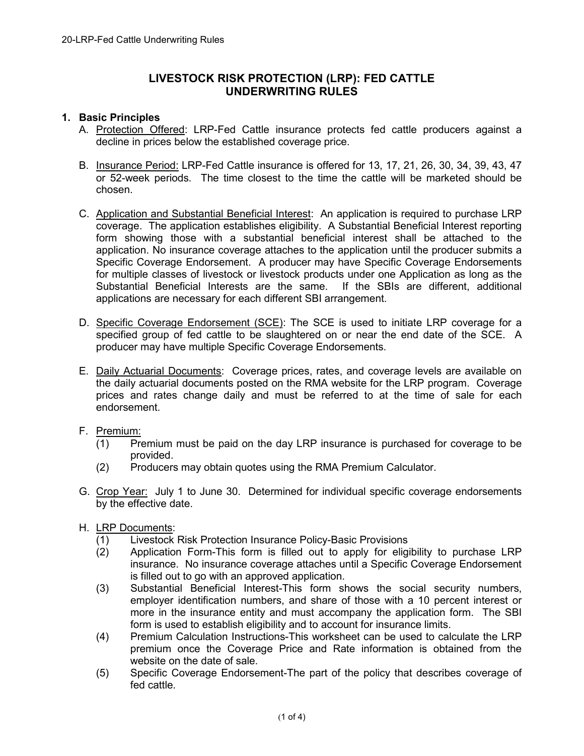# **LIVESTOCK RISK PROTECTION (LRP): FED CATTLE UNDERWRITING RULES**

# **1. Basic Principles**

- A. Protection Offered: LRP-Fed Cattle insurance protects fed cattle producers against a decline in prices below the established coverage price.
- B. Insurance Period: LRP-Fed Cattle insurance is offered for 13, 17, 21, 26, 30, 34, 39, 43, 47 or 52-week periods. The time closest to the time the cattle will be marketed should be chosen.
- C. Application and Substantial Beneficial Interest: An application is required to purchase LRP coverage. The application establishes eligibility. A Substantial Beneficial Interest reporting form showing those with a substantial beneficial interest shall be attached to the application. No insurance coverage attaches to the application until the producer submits a Specific Coverage Endorsement. A producer may have Specific Coverage Endorsements for multiple classes of livestock or livestock products under one Application as long as the Substantial Beneficial Interests are the same. If the SBIs are different, additional applications are necessary for each different SBI arrangement.
- D. Specific Coverage Endorsement (SCE): The SCE is used to initiate LRP coverage for a specified group of fed cattle to be slaughtered on or near the end date of the SCE. A producer may have multiple Specific Coverage Endorsements.
- E. Daily Actuarial Documents: Coverage prices, rates, and coverage levels are available on the daily actuarial documents posted on the RMA website for the LRP program. Coverage prices and rates change daily and must be referred to at the time of sale for each endorsement.
- F. Premium:
	- (1) Premium must be paid on the day LRP insurance is purchased for coverage to be provided.
	- (2) Producers may obtain quotes using the RMA Premium Calculator.
- G. Crop Year: July 1 to June 30. Determined for individual specific coverage endorsements by the effective date.
- H. LRP Documents:
	- (1) Livestock Risk Protection Insurance Policy-Basic Provisions
	- (2) Application Form-This form is filled out to apply for eligibility to purchase LRP insurance. No insurance coverage attaches until a Specific Coverage Endorsement is filled out to go with an approved application.
	- (3) Substantial Beneficial Interest-This form shows the social security numbers, employer identification numbers, and share of those with a 10 percent interest or more in the insurance entity and must accompany the application form. The SBI form is used to establish eligibility and to account for insurance limits.
	- (4) Premium Calculation Instructions-This worksheet can be used to calculate the LRP premium once the Coverage Price and Rate information is obtained from the website on the date of sale.
	- (5) Specific Coverage Endorsement-The part of the policy that describes coverage of fed cattle.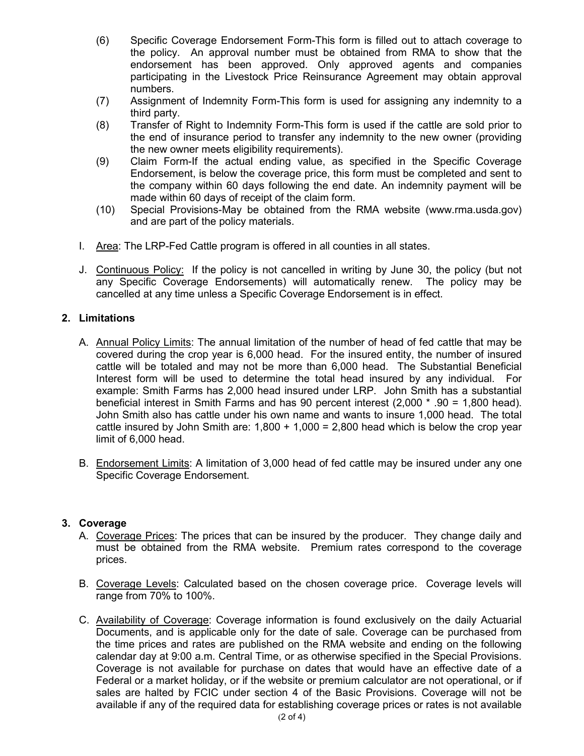- (6) Specific Coverage Endorsement Form-This form is filled out to attach coverage to the policy. An approval number must be obtained from RMA to show that the endorsement has been approved. Only approved agents and companies participating in the Livestock Price Reinsurance Agreement may obtain approval numbers.
- (7) Assignment of Indemnity Form-This form is used for assigning any indemnity to a third party.
- (8) Transfer of Right to Indemnity Form-This form is used if the cattle are sold prior to the end of insurance period to transfer any indemnity to the new owner (providing the new owner meets eligibility requirements).
- (9) Claim Form-If the actual ending value, as specified in the Specific Coverage Endorsement, is below the coverage price, this form must be completed and sent to the company within 60 days following the end date. An indemnity payment will be made within 60 days of receipt of the claim form.
- (10) Special Provisions-May be obtained from the RMA website (www.rma.usda.gov) and are part of the policy materials.
- I. Area: The LRP-Fed Cattle program is offered in all counties in all states.
- J. Continuous Policy: If the policy is not cancelled in writing by June 30, the policy (but not any Specific Coverage Endorsements) will automatically renew. The policy may be cancelled at any time unless a Specific Coverage Endorsement is in effect.

# **2. Limitations**

- A. Annual Policy Limits: The annual limitation of the number of head of fed cattle that may be covered during the crop year is 6,000 head. For the insured entity, the number of insured cattle will be totaled and may not be more than 6,000 head. The Substantial Beneficial Interest form will be used to determine the total head insured by any individual. For example: Smith Farms has 2,000 head insured under LRP. John Smith has a substantial beneficial interest in Smith Farms and has 90 percent interest (2,000 \* .90 = 1,800 head). John Smith also has cattle under his own name and wants to insure 1,000 head. The total cattle insured by John Smith are:  $1,800 + 1,000 = 2,800$  head which is below the crop year limit of 6,000 head.
- B. Endorsement Limits: A limitation of 3,000 head of fed cattle may be insured under any one Specific Coverage Endorsement.

### **3. Coverage**

- A. Coverage Prices: The prices that can be insured by the producer. They change daily and must be obtained from the RMA website. Premium rates correspond to the coverage prices.
- B. Coverage Levels: Calculated based on the chosen coverage price. Coverage levels will range from 70% to 100%.
- C. Availability of Coverage: Coverage information is found exclusively on the daily Actuarial Documents, and is applicable only for the date of sale. Coverage can be purchased from the time prices and rates are published on the RMA website and ending on the following calendar day at 9:00 a.m. Central Time, or as otherwise specified in the Special Provisions. Coverage is not available for purchase on dates that would have an effective date of a Federal or a market holiday, or if the website or premium calculator are not operational, or if sales are halted by FCIC under section 4 of the Basic Provisions. Coverage will not be available if any of the required data for establishing coverage prices or rates is not available